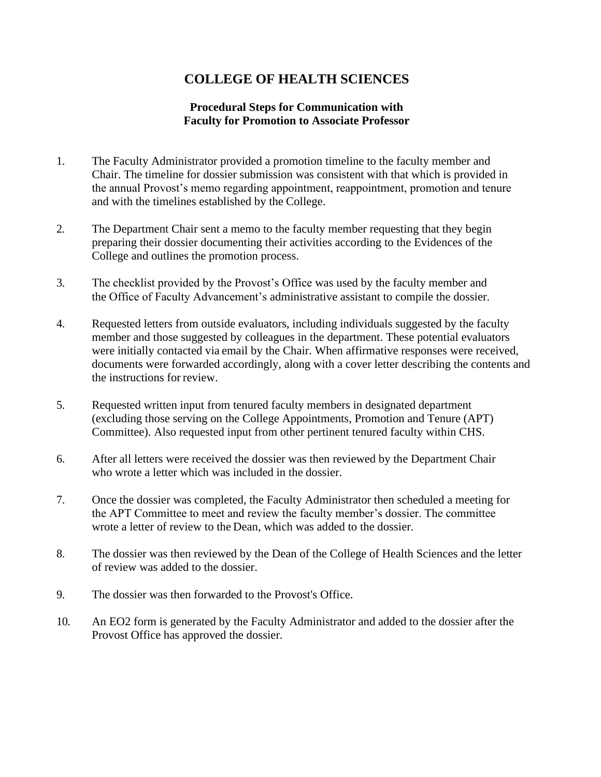## **COLLEGE OF HEALTH SCIENCES**

## **Procedural Steps for Communication with Faculty for Promotion to Associate Professor**

- 1. The Faculty Administrator provided a promotion timeline to the faculty member and Chair. The timeline for dossier submission was consistent with that which is provided in the annual Provost's memo regarding appointment, reappointment, promotion and tenure and with the timelines established by the College.
- 2. The Department Chair sent a memo to the faculty member requesting that they begin preparing their dossier documenting their activities according to the Evidences of the College and outlines the promotion process.
- 3. The checklist provided by the Provost's Office was used by the faculty member and the Office of Faculty Advancement's administrative assistant to compile the dossier.
- 4. Requested letters from outside evaluators, including individuals suggested by the faculty member and those suggested by colleagues in the department. These potential evaluators were initially contacted via email by the Chair. When affirmative responses were received, documents were forwarded accordingly, along with a cover letter describing the contents and the instructions for review.
- 5. Requested written input from tenured faculty members in designated department (excluding those serving on the College Appointments, Promotion and Tenure (APT) Committee). Also requested input from other pertinent tenured faculty within CHS.
- 6. After all letters were received the dossier was then reviewed by the Department Chair who wrote a letter which was included in the dossier.
- 7. Once the dossier was completed, the Faculty Administrator then scheduled a meeting for the APT Committee to meet and review the faculty member's dossier. The committee wrote a letter of review to the Dean, which was added to the dossier.
- 8. The dossier was then reviewed by the Dean of the College of Health Sciences and the letter of review was added to the dossier.
- 9. The dossier was then forwarded to the Provost's Office.
- 10. An EO2 form is generated by the Faculty Administrator and added to the dossier after the Provost Office has approved the dossier.